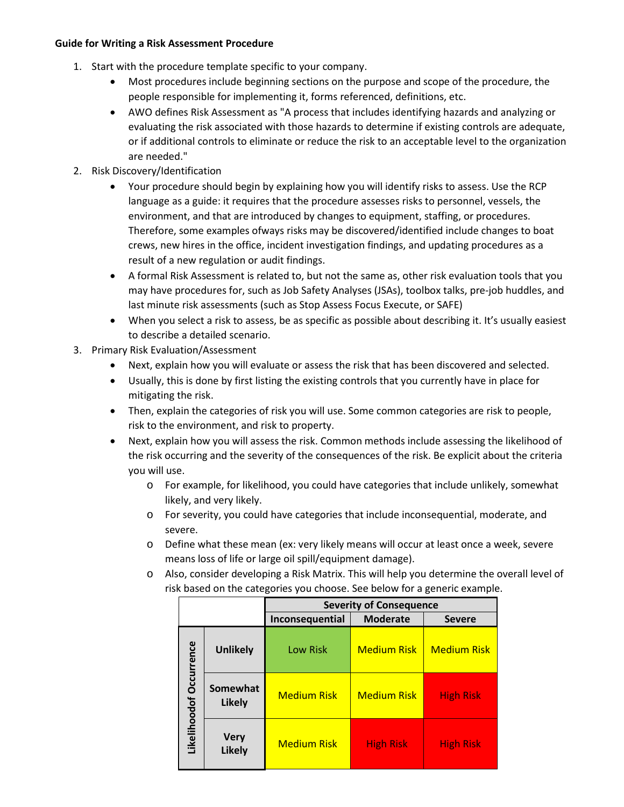## **Guide for Writing a Risk Assessment Procedure**

- 1. Start with the procedure template specific to your company.
	- Most procedures include beginning sections on the purpose and scope of the procedure, the people responsible for implementing it, forms referenced, definitions, etc.
	- AWO defines Risk Assessment as "A process that includes identifying hazards and analyzing or evaluating the risk associated with those hazards to determine if existing controls are adequate, or if additional controls to eliminate or reduce the risk to an acceptable level to the organization are needed."
- 2. Risk Discovery/Identification
	- Your procedure should begin by explaining how you will identify risks to assess. Use the RCP language as a guide: it requires that the procedure assesses risks to personnel, vessels, the environment, and that are introduced by changes to equipment, staffing, or procedures. Therefore, some examples ofways risks may be discovered/identified include changes to boat crews, new hires in the office, incident investigation findings, and updating procedures as a result of a new regulation or audit findings.
	- A formal Risk Assessment is related to, but not the same as, other risk evaluation tools that you may have procedures for, such as Job Safety Analyses (JSAs), toolbox talks, pre-job huddles, and last minute risk assessments (such as Stop Assess Focus Execute, or SAFE)
	- When you select a risk to assess, be as specific as possible about describing it. It's usually easiest to describe a detailed scenario.
- 3. Primary Risk Evaluation/Assessment
	- Next, explain how you will evaluate or assess the risk that has been discovered and selected.
	- Usually, this is done by first listing the existing controls that you currently have in place for mitigating the risk.
	- Then, explain the categories of risk you will use. Some common categories are risk to people, risk to the environment, and risk to property.
	- Next, explain how you will assess the risk. Common methods include assessing the likelihood of the risk occurring and the severity of the consequences of the risk. Be explicit about the criteria you will use.
		- o For example, for likelihood, you could have categories that include unlikely, somewhat likely, and very likely.
		- o For severity, you could have categories that include inconsequential, moderate, and severe.
		- o Define what these mean (ex: very likely means will occur at least once a week, severe means loss of life or large oil spill/equipment damage).
		- o Also, consider developing a Risk Matrix. This will help you determine the overall level of risk based on the categories you choose. See below for a generic example.

|                         |                              | <b>Severity of Consequence</b> |                    |                    |
|-------------------------|------------------------------|--------------------------------|--------------------|--------------------|
|                         |                              | Inconsequential                | <b>Moderate</b>    | <b>Severe</b>      |
| Likelihoodof Occurrence | <b>Unlikely</b>              | <b>Low Risk</b>                | <b>Medium Risk</b> | <b>Medium Risk</b> |
|                         | Somewhat<br><b>Likely</b>    | <b>Medium Risk</b>             | <b>Medium Risk</b> | <b>High Risk</b>   |
|                         | <b>Very</b><br><b>Likely</b> | <b>Medium Risk</b>             | <b>High Risk</b>   | <b>High Risk</b>   |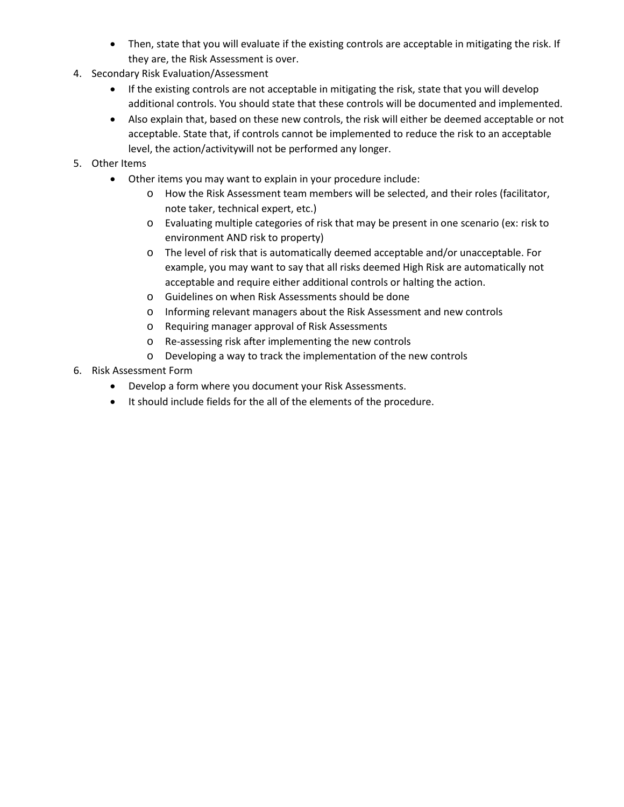- Then, state that you will evaluate if the existing controls are acceptable in mitigating the risk. If they are, the Risk Assessment is over.
- 4. Secondary Risk Evaluation/Assessment
	- If the existing controls are not acceptable in mitigating the risk, state that you will develop additional controls. You should state that these controls will be documented and implemented.
	- Also explain that, based on these new controls, the risk will either be deemed acceptable or not acceptable. State that, if controls cannot be implemented to reduce the risk to an acceptable level, the action/activitywill not be performed any longer.
- 5. Other Items
	- Other items you may want to explain in your procedure include:
		- o How the Risk Assessment team members will be selected, and their roles (facilitator, note taker, technical expert, etc.)
		- o Evaluating multiple categories of risk that may be present in one scenario (ex: risk to environment AND risk to property)
		- o The level of risk that is automatically deemed acceptable and/or unacceptable. For example, you may want to say that all risks deemed High Risk are automatically not acceptable and require either additional controls or halting the action.
		- o Guidelines on when Risk Assessments should be done
		- o Informing relevant managers about the Risk Assessment and new controls
		- o Requiring manager approval of Risk Assessments
		- o Re-assessing risk after implementing the new controls
		- o Developing a way to track the implementation of the new controls
- 6. Risk Assessment Form
	- Develop a form where you document your Risk Assessments.
	- It should include fields for the all of the elements of the procedure.